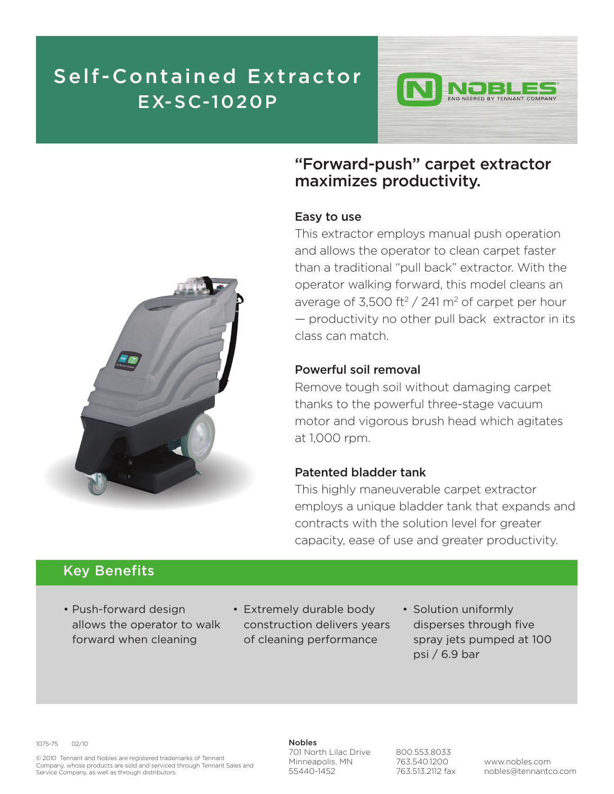## Self-Contained Extractor EX-SC-1020P



## "Forward-push" carpet extractor maximizes productivity.

#### Easy to use

This extractor employs manual push operation and allows the operator to clean carpet faster than a traditional "pull back" extractor. With the operator walking forward, this model cleans an average of 3,500 ft<sup>2</sup> / 241 m<sup>2</sup> of carpet per hour — productivity no other pull back extractor in its class can match.

#### Powerful soil removal

Remove tough soil without damaging carpet thanks to the powerful three-stage vacuum motor and vigorous brush head which agitates at 1,000 rpm.

### Patented bladder tank

This highly maneuverable carpet extractor employs a unique bladder tank that expands and contracts with the solution level for greater capacity, ease of use and greater productivity.

### Key Benefits

- Push-forward design allows the operator to walk forward when cleaning
- Extremely durable body construction delivers years of cleaning performance
- Solution uniformly disperses through five spray jets pumped at 100 psi / 6.9 bar

1075-75 02/10

© 2010 Tennant and Nobles are registered trademarks of Tennant Company, whose products are sold and serviced through Tennant Sales and Service Company, as well as through distributors.

Nobles 701 North Lilac Drive Minneapolis, MN 55440-1452

800.553.8033 763.540.1200 763.513.2112 fax

www.nobles.com nobles@tennantco.com